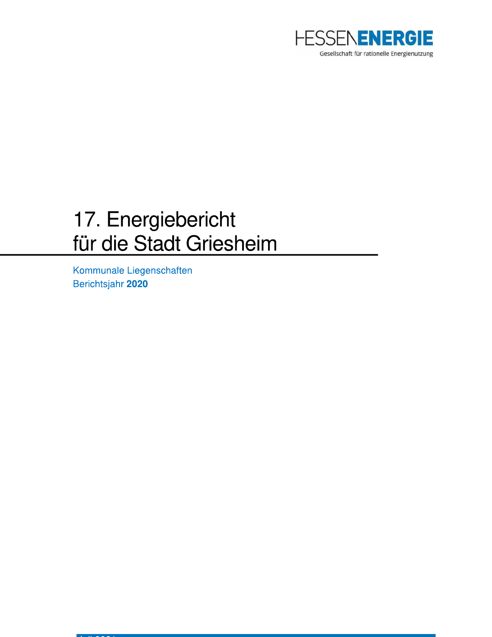

# 17. Energiebericht für die Stadt Griesheim

Kommunale Liegenschaften Berichtsjahr 2020

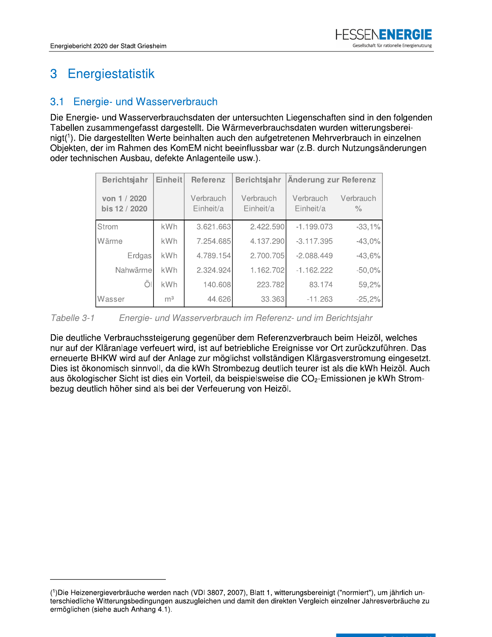### Energiestatistik 3

#### Energie- und Wasserverbrauch  $3.1$

Die Energie- und Wasserverbrauchsdaten der untersuchten Liegenschaften sind in den folgenden Tabellen zusammengefasst dargestellt. Die Wärmeverbrauchsdaten wurden witterungsbereinigt<sup>(1</sup>). Die dargestellten Werte beinhalten auch den aufgetretenen Mehrverbrauch in einzelnen Objekten, der im Rahmen des KomEM nicht beeinflussbar war (z.B. durch Nutzungsänderungen oder technischen Ausbau, defekte Anlagenteile usw.).

| Berichtsjahr                  | Einheit        | <b>Referenz</b>        | <b>Berichtsjahr</b>    | Änderung zur Referenz  |                                   |
|-------------------------------|----------------|------------------------|------------------------|------------------------|-----------------------------------|
| von 1 / 2020<br>bis 12 / 2020 |                | Verbrauch<br>Einheit/a | Verbrauch<br>Einheit/a | Verbrauch<br>Einheit/a | Verbrauch<br>$\frac{1}{\sqrt{2}}$ |
| Strom                         | kWh            | 3.621.663              | 2.422.590              | $-1.199.073$           | $-33,1%$                          |
| Wärme                         | kWh            | 7.254.685              | 4.137.290              | $-3.117.395$           | $-43,0%$                          |
| Erdgas                        | <b>kWh</b>     | 4.789.154              | 2.700.705              | $-2.088.449$           | $-43,6%$                          |
| Nahwärme                      | <b>kWh</b>     | 2.324.924              | 1.162.702              | $-1.162.222$           | $-50,0%$                          |
|                               | <b>kWh</b>     | 140.608                | 223.782                | 83.174                 | 59,2%                             |
| Wasser                        | m <sup>3</sup> | 44.626                 | 33.363                 | $-11.263$              | $-25,2%$                          |

Tabelle 3-1 Energie- und Wasserverbrauch im Referenz- und im Berichtsjahr

Die deutliche Verbrauchssteigerung gegenüber dem Referenzverbrauch beim Heizöl, welches nur auf der Kläranlage verfeuert wird, ist auf betriebliche Ereignisse vor Ort zurückzuführen. Das erneuerte BHKW wird auf der Anlage zur möglichst vollständigen Klärgasverstromung eingesetzt. Dies ist ökonomisch sinnvoll, da die kWh Strombezug deutlich teurer ist als die kWh Heizöl. Auch aus ökologischer Sicht ist dies ein Vorteil, da beispielsweise die CO<sub>2</sub>-Emissionen je kWh Strombezug deutlich höher sind als bei der Verfeuerung von Heizöl.

<sup>(1)</sup> Die Heizenergieverbräuche werden nach (VDI 3807, 2007), Blatt 1, witterungsbereinigt ("normiert"), um jährlich unterschiedliche Witterungsbedingungen auszugleichen und damit den direkten Vergleich einzelner Jahresverbräuche zu ermöglichen (siehe auch Anhang 4.1).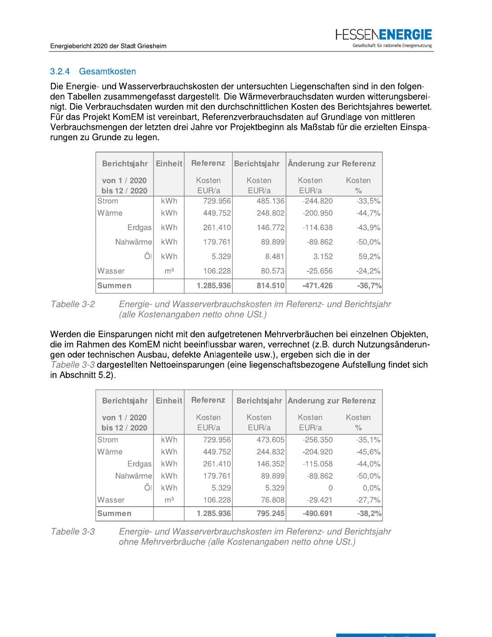# 3.2.4 Gesamtkosten

Die Energie- und wasserverbrauchskosten der untersuchten Liegenschaften sind in den folgenden Tabellen zusammengefasst dargestellt. Die Warmeverbrauchsdaten wurden witterungsberei-FESSENENERGI<br>
Gesellschaft für rationelle Energienutz<br>
desellschaft für rationelle Energienutz<br>
desellschaft für rationelle Energienutz<br>
der Schriftlichen Kosten des Berichtsjahres bewerter<br>
princhlage von mittleren<br>
ektbe FESSEN FINERGIE<br>
Gesellschaft für rationelle Energienutzung<br>
en Liegenschaften sind in den folgen-<br>
brauchsdaten wurden witterungsberei-<br>
en Kosten des Berichtsjahres bewertet.<br>
sdaten auf Grundlage von mittleren<br>
n als Ma - (- - - #- ) - - \*- +- - - Fiebericht 2020 der Stadt Griesheim<br>
4 Gesamtkosten<br>
Energie- und Wasserverbrauchskosten der ur<br>
Tabellen zusammengefasst dargestellt. Die V<br>
Die Verbrauchsdaten wurden mit den durchs<br>
das Projekt KomEM ist vereinbart, Ref HESSENENERGIE<br>
Gesellschaft für rationelle Energienutzung<br>
schaften sind in den folgen-<br>
aten wurden witterungsberei-<br>
i des Berichtsjahres bewertet.<br>
i Grundlage von mittleren<br>
stab für die erzielten Einspa-<br>
ng zur Refer Fur das Projekt KomEM ist vereinbart, Referenzverbrauchsdaten auf Grundlage von mittleren  $\mathsf{n}$ verbrauchsmengen der letzten drei Jahre vor Projektbeginn als Maßstab für die erzielten Einsparungen zu Grunde zu legen.

|                                                                                                                        | Berichtsjahr  | Einheit        | Referenz  | <b>Berichtsjahr</b> | Änderung zur Referenz |          |  |
|------------------------------------------------------------------------------------------------------------------------|---------------|----------------|-----------|---------------------|-----------------------|----------|--|
|                                                                                                                        | von 1 / 2020  |                | Kosten    | Kosten              | Kosten                | Kosten   |  |
|                                                                                                                        | bis 12 / 2020 |                | EUR/a     | EUR/a               | EUR/a                 | $\%$     |  |
|                                                                                                                        | Strom         | kWh            | 729.956   | 485.136             | $-244.820$            | $-33,5%$ |  |
|                                                                                                                        | Wärme         | <b>kWh</b>     | 449.752   | 248.802             | $-200.950$            | $-44,7%$ |  |
|                                                                                                                        | Erdgas        | <b>kWh</b>     | 261.410   | 146.772             | $-114.638$            | $-43,9%$ |  |
|                                                                                                                        | Nahwärme      | kWh            | 179.761   | 89.899              | $-89.862$             | $-50,0%$ |  |
|                                                                                                                        | Öl            | <b>kWh</b>     | 5.329     | 8.481               | 3.152                 | 59,2%    |  |
|                                                                                                                        | Wasser        | m <sup>3</sup> | 106.228   | 80.573              | $-25.656$             | $-24,2%$ |  |
|                                                                                                                        | Summen        |                | 1.285.936 | 814.510             | $-471.426$            | $-36,7%$ |  |
| Tabelle 3-2<br>Energie- und Wasserverbrauchskosten im Referenz- und Berichtsja<br>(alle Kostenangaben netto ohne USt.) |               |                |           |                     |                       |          |  |

Tabelle 3-2 Energie- und Wasserverbrauchskosten im Referenz- und Berichtsjahr<br>(alle Kostenangaben netto ohne USt.)

(alle Kostenangaben netto onne USt.)<br>Werden die Einsparungen nicht mit den aufgetretenen Mehrverbräuchen bei einzelnen Objekten, ale im Rahmen des KomEM nicht beeinflussbar waren, verrechnet (z.B. durch Nutzungsanderunm<sup>3</sup> 106.228 80.573 -25.65<br>
1.285.936 814.510 -471.42<br>
- und Wasserverbrauchskosten im Referenz-<br>
stenangaben netto ohne USt.)<br>
1 nicht mit den aufgetretenen Mehrverbräuche<br>
EM nicht beeinflussbar waren, verrechnet (z.B<br>
b gen oder technischen Ausbau, defekte Anlagentelle usw.), ergeben sich die in der  $\mathbf{r}$ Tabelle 3-3 dargestellten Nettoeinsparungen (eine liegenschaftsbezogene Aufstellung findet sich in Abschnitt 5.2).  $\blacksquare$ 

|                                                                                                                                                                                                                                                                                                                                                                       | Wasser                        | m <sup>3</sup> | 106.228                              | 80.5731         | -25.656                                                                                                                     | $-24,2%$                       |  |
|-----------------------------------------------------------------------------------------------------------------------------------------------------------------------------------------------------------------------------------------------------------------------------------------------------------------------------------------------------------------------|-------------------------------|----------------|--------------------------------------|-----------------|-----------------------------------------------------------------------------------------------------------------------------|--------------------------------|--|
|                                                                                                                                                                                                                                                                                                                                                                       | Summen                        |                | 1.285.936                            | 814.510         | $-471.426$                                                                                                                  | $-36,7%$                       |  |
| Tabelle 3-2                                                                                                                                                                                                                                                                                                                                                           |                               |                | (alle Kostenangaben netto ohne USt.) |                 | Energie- und Wasserverbrauchskosten im Referenz- und Berichtsja                                                             |                                |  |
| Werden die Einsparungen nicht mit den aufgetretenen Mehrverbräuchen bei einzelne<br>die im Rahmen des KomEM nicht beeinflussbar waren, verrechnet (z.B. durch Nutzur<br>gen oder technischen Ausbau, defekte Anlagenteile usw.), ergeben sich die in der<br>Tabelle 3-3 dargestellten Nettoeinsparungen (eine liegenschaftsbezogene Aufstellung<br>in Abschnitt 5.2). |                               |                |                                      |                 |                                                                                                                             |                                |  |
|                                                                                                                                                                                                                                                                                                                                                                       | Berichtsjahr                  | Einheit        | <b>Referenz</b>                      | Berichtsjahr    | <b>Anderung zur Referenz</b>                                                                                                |                                |  |
|                                                                                                                                                                                                                                                                                                                                                                       | von 1 / 2020<br>bis 12 / 2020 |                | Kosten<br>EUR/a                      | Kosten<br>EUR/a | Kosten<br>EUR/a                                                                                                             | Kosten<br>$\frac{1}{\sqrt{2}}$ |  |
|                                                                                                                                                                                                                                                                                                                                                                       | Strom                         | kWh            | 729.956                              | 473.605         | $-256.350$                                                                                                                  | $-35,1%$                       |  |
|                                                                                                                                                                                                                                                                                                                                                                       | Wärme                         | <b>kWh</b>     | 449.752                              | 244.832         | $-204.920$                                                                                                                  | $-45,6%$                       |  |
|                                                                                                                                                                                                                                                                                                                                                                       | Erdgas                        | <b>kWh</b>     | 261.410                              | 146.352         | $-115.058$                                                                                                                  | $-44,0%$                       |  |
|                                                                                                                                                                                                                                                                                                                                                                       | Nahwärme                      | kWh            | 179.761                              | 89.899          | $-89.862$                                                                                                                   | $-50,0%$                       |  |
|                                                                                                                                                                                                                                                                                                                                                                       | Öl                            | kWh            | 5.329                                | 5.329           | $\Omega$                                                                                                                    | 0,0%                           |  |
|                                                                                                                                                                                                                                                                                                                                                                       | Wasser                        | m <sup>3</sup> | 106.228                              | 76.808          | $-29.421$                                                                                                                   | $-27,7%$                       |  |
|                                                                                                                                                                                                                                                                                                                                                                       | <b>Summen</b>                 |                | 1.285.936                            | 795.245         | $-490.691$                                                                                                                  | $-38,2%$                       |  |
| Tabelle 3-3                                                                                                                                                                                                                                                                                                                                                           |                               |                |                                      |                 | Energie- und Wasserverbrauchskosten im Referenz- und Berichtsja<br>ohne Mehrverbräuche (alle Kostenangaben netto ohne USt.) |                                |  |

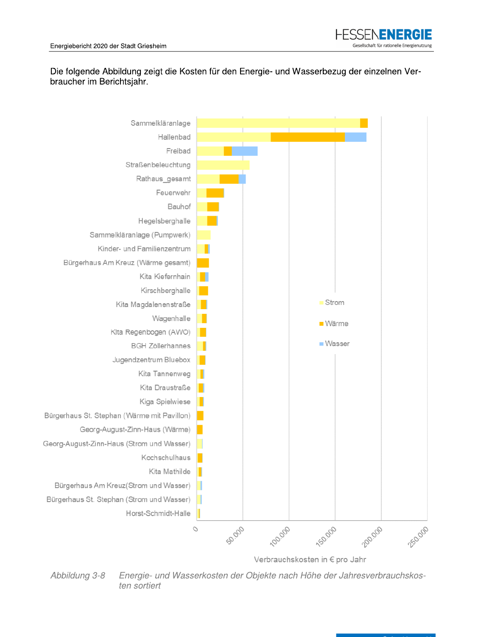

# Die folgende Abbildung zeigt die Kosten für den Energie- und Wasserbezug der einzelnen Verbraucher im Berichtsjahr.



Energie- und Wasserkosten der Objekte nach Höhe der Jahresverbrauchskos-Abbildung 3-8 ten sortiert

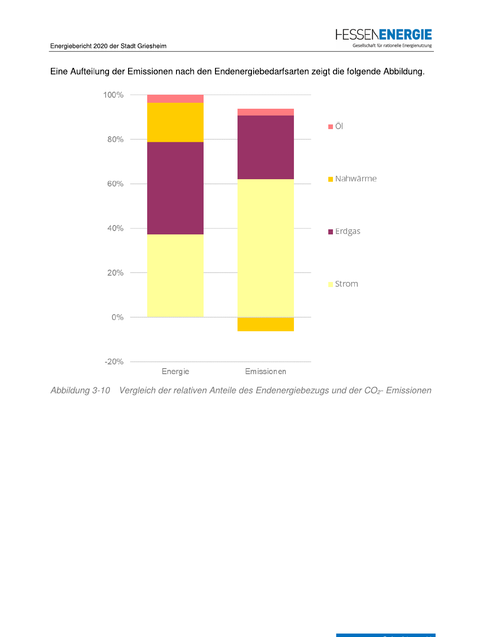





Abbildung 3-10 Vergleich der relativen Anteile des Endenergiebezugs und der CO<sub>2</sub>- Emissionen